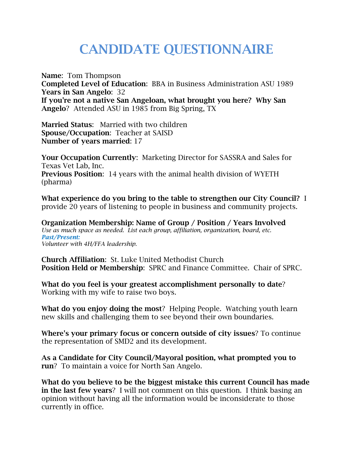## **CANDIDATE QUESTIONNAIRE**

**Name**: Tom Thompson **Completed Level of Education**: BBA in Business Administration ASU 1989 **Years in San Angelo**: 32 **If you're not a native San Angeloan, what brought you here? Why San Angelo**? Attended ASU in 1985 from Big Spring, TX

**Married Status**: Married with two children **Spouse/Occupation**: Teacher at SAISD **Number of years married**: 17

**Your Occupation Currently**: Marketing Director for SASSRA and Sales for Texas Vet Lab, Inc. **Previous Position**: 14 years with the animal health division of WYETH (pharma)

**What experience do you bring to the table to strengthen our City Council?** I provide 20 years of listening to people in business and community projects.

**Organization Membership: Name of Group / Position / Years Involved**  *Use as much space as needed. List each group, affiliation, organization, board, etc. Past/Present: Volunteer with 4H/FFA leadership.* 

**Church Affiliation**: St. Luke United Methodist Church **Position Held or Membership**: SPRC and Finance Committee. Chair of SPRC.

**What do you feel is your greatest accomplishment personally to date**? Working with my wife to raise two boys.

**What do you enjoy doing the most**? Helping People. Watching youth learn new skills and challenging them to see beyond their own boundaries.

**Where's your primary focus or concern outside of city issues**? To continue the representation of SMD2 and its development.

**As a Candidate for City Council/Mayoral position, what prompted you to run**? To maintain a voice for North San Angelo.

**What do you believe to be the biggest mistake this current Council has made in the last few years**? I will not comment on this question. I think basing an opinion without having all the information would be inconsiderate to those currently in office.